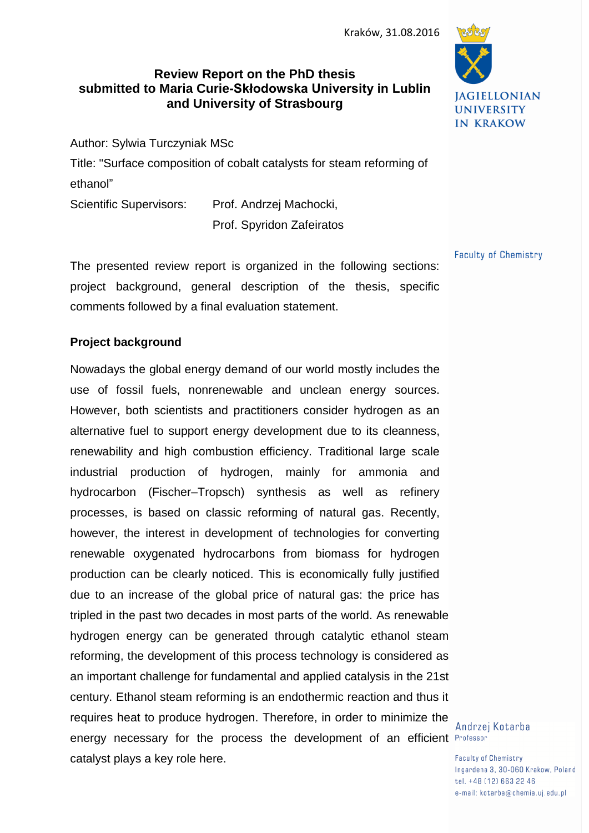# **Review Report on the PhD thesis submitted to Maria Curie-Skłodowska University in Lublin and University of Strasbourg**

Author: Sylwia Turczyniak MSc

Title: "Surface composition of cobalt catalysts for steam reforming of ethanol" Scientific Supervisors: Prof. Andrzej Machocki,

Prof. Spyridon Zafeiratos

**JAGIELLONIAN UNIVERSITY IN KRAKOW** 

**Faculty of Chemistry** 

The presented review report is organized in the following sections: project background, general description of the thesis, specific comments followed by a final evaluation statement.

## **Project background**

Nowadays the global energy demand of our world mostly includes the use of fossil fuels, nonrenewable and unclean energy sources. However, both scientists and practitioners consider hydrogen as an alternative fuel to support energy development due to its cleanness, renewability and high combustion efficiency. Traditional large scale industrial production of hydrogen, mainly for ammonia and hydrocarbon (Fischer–Tropsch) synthesis as well as refinery processes, is based on classic reforming of natural gas. Recently, however, the interest in development of technologies for converting renewable oxygenated hydrocarbons from biomass for hydrogen production can be clearly noticed. This is economically fully justified due to an increase of the global price of natural gas: the price has tripled in the past two decades in most parts of the world. As renewable hydrogen energy can be generated through catalytic ethanol steam reforming, the development of this process technology is considered as an important challenge for fundamental and applied catalysis in the 21st century. Ethanol steam reforming is an endothermic reaction and thus it requires heat to produce hydrogen. Therefore, in order to minimize the energy necessary for the process the development of an efficient Professor catalyst plays a key role here.

Andrzej Kotarba

**Faculty of Chemistry** Ingardena 3, 30-060 Krakow, Poland tel. +48 (12) 663 22 46 e-mail: kotarba@chemia.uj.edu.pl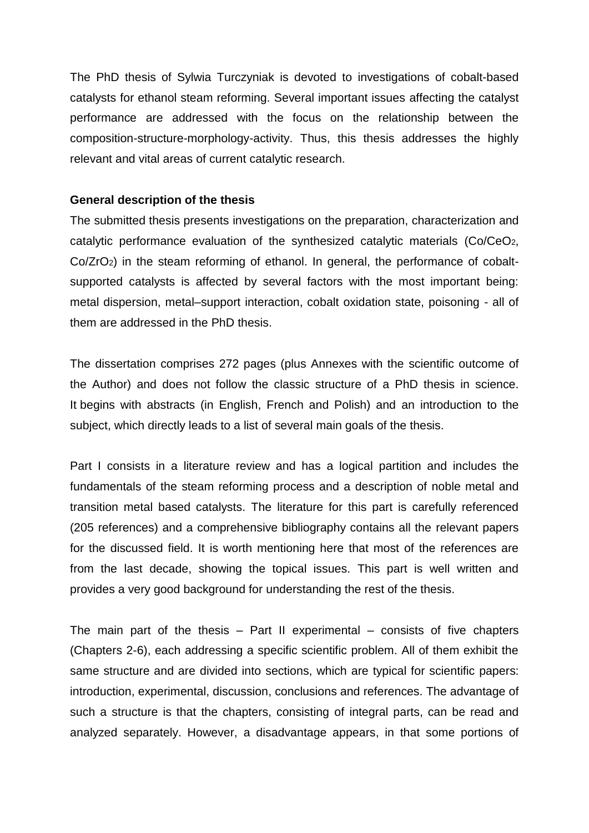The PhD thesis of Sylwia Turczyniak is devoted to investigations of cobalt-based catalysts for ethanol steam reforming. Several important issues affecting the catalyst performance are addressed with the focus on the relationship between the composition-structure-morphology-activity. Thus, this thesis addresses the highly relevant and vital areas of current catalytic research.

### **General description of the thesis**

The submitted thesis presents investigations on the preparation, characterization and catalytic performance evaluation of the synthesized catalytic materials (Co/CeO2, Co/ZrO2) in the steam reforming of ethanol. In general, the performance of cobaltsupported catalysts is affected by several factors with the most important being: metal dispersion, metal–support interaction, cobalt oxidation state, poisoning - all of them are addressed in the PhD thesis.

The dissertation comprises 272 pages (plus Annexes with the scientific outcome of the Author) and does not follow the classic structure of a PhD thesis in science. It begins with abstracts (in English, French and Polish) and an introduction to the subject, which directly leads to a list of several main goals of the thesis.

Part I consists in a literature review and has a logical partition and includes the fundamentals of the steam reforming process and a description of noble metal and transition metal based catalysts. The literature for this part is carefully referenced (205 references) and a comprehensive bibliography contains all the relevant papers for the discussed field. It is worth mentioning here that most of the references are from the last decade, showing the topical issues. This part is well written and provides a very good background for understanding the rest of the thesis.

The main part of the thesis  $-$  Part II experimental  $-$  consists of five chapters (Chapters 2-6), each addressing a specific scientific problem. All of them exhibit the same structure and are divided into sections, which are typical for scientific papers: introduction, experimental, discussion, conclusions and references. The advantage of such a structure is that the chapters, consisting of integral parts, can be read and analyzed separately. However, a disadvantage appears, in that some portions of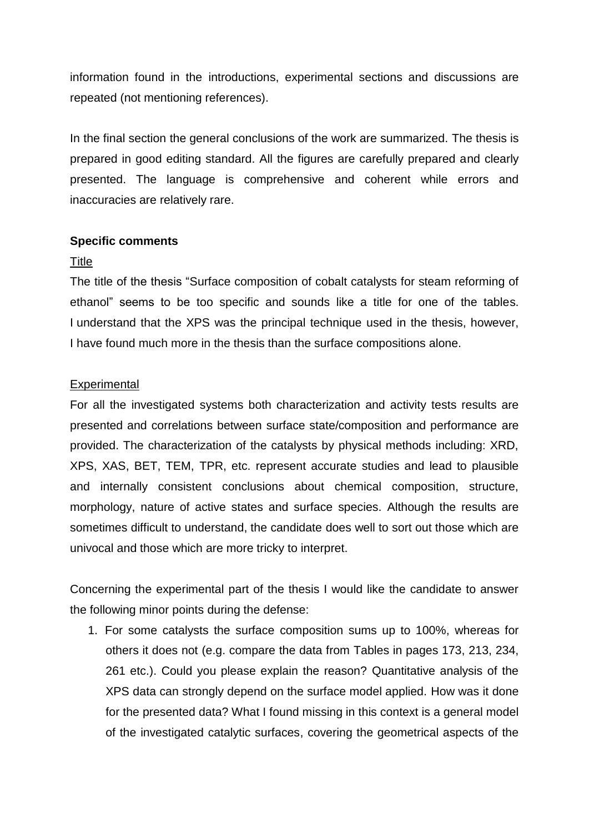information found in the introductions, experimental sections and discussions are repeated (not mentioning references).

In the final section the general conclusions of the work are summarized. The thesis is prepared in good editing standard. All the figures are carefully prepared and clearly presented. The language is comprehensive and coherent while errors and inaccuracies are relatively rare.

## **Specific comments**

### Title

The title of the thesis "Surface composition of cobalt catalysts for steam reforming of ethanol" seems to be too specific and sounds like a title for one of the tables. I understand that the XPS was the principal technique used in the thesis, however, I have found much more in the thesis than the surface compositions alone.

### **Experimental**

For all the investigated systems both characterization and activity tests results are presented and correlations between surface state/composition and performance are provided. The characterization of the catalysts by physical methods including: XRD, XPS, XAS, BET, TEM, TPR, etc. represent accurate studies and lead to plausible and internally consistent conclusions about chemical composition, structure, morphology, nature of active states and surface species. Although the results are sometimes difficult to understand, the candidate does well to sort out those which are univocal and those which are more tricky to interpret.

Concerning the experimental part of the thesis I would like the candidate to answer the following minor points during the defense:

1. For some catalysts the surface composition sums up to 100%, whereas for others it does not (e.g. compare the data from Tables in pages 173, 213, 234, 261 etc.). Could you please explain the reason? Quantitative analysis of the XPS data can strongly depend on the surface model applied. How was it done for the presented data? What I found missing in this context is a general model of the investigated catalytic surfaces, covering the geometrical aspects of the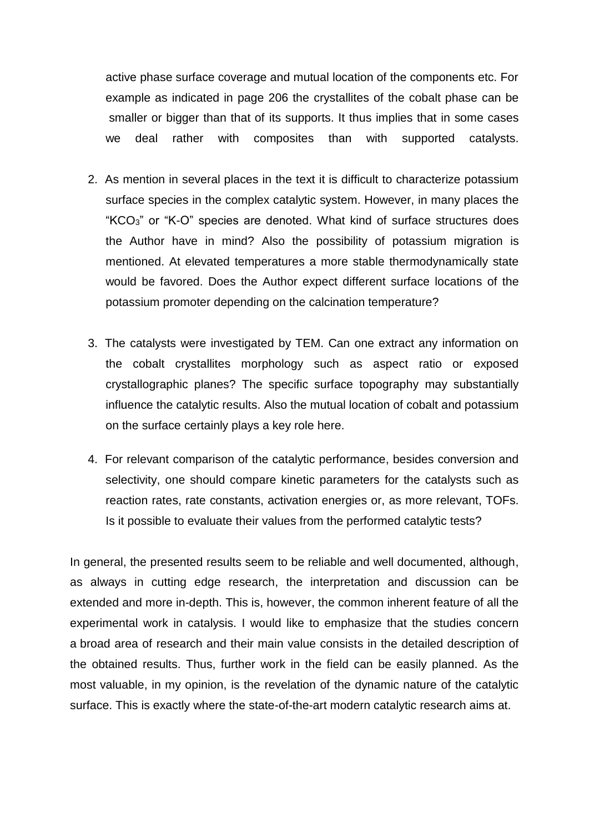active phase surface coverage and mutual location of the components etc. For example as indicated in page 206 the crystallites of the cobalt phase can be smaller or bigger than that of its supports. It thus implies that in some cases we deal rather with composites than with supported catalysts.

- 2. As mention in several places in the text it is difficult to characterize potassium surface species in the complex catalytic system. However, in many places the "KCO3" or "K-O" species are denoted. What kind of surface structures does the Author have in mind? Also the possibility of potassium migration is mentioned. At elevated temperatures a more stable thermodynamically state would be favored. Does the Author expect different surface locations of the potassium promoter depending on the calcination temperature?
- 3. The catalysts were investigated by TEM. Can one extract any information on the cobalt crystallites morphology such as aspect ratio or exposed crystallographic planes? The specific surface topography may substantially influence the catalytic results. Also the mutual location of cobalt and potassium on the surface certainly plays a key role here.
- 4. For relevant comparison of the catalytic performance, besides conversion and selectivity, one should compare kinetic parameters for the catalysts such as reaction rates, rate constants, activation energies or, as more relevant, TOFs. Is it possible to evaluate their values from the performed catalytic tests?

In general, the presented results seem to be reliable and well documented, although, as always in cutting edge research, the interpretation and discussion can be extended and more in-depth. This is, however, the common inherent feature of all the experimental work in catalysis. I would like to emphasize that the studies concern a broad area of research and their main value consists in the detailed description of the obtained results. Thus, further work in the field can be easily planned. As the most valuable, in my opinion, is the revelation of the dynamic nature of the catalytic surface. This is exactly where the state-of-the-art modern catalytic research aims at.